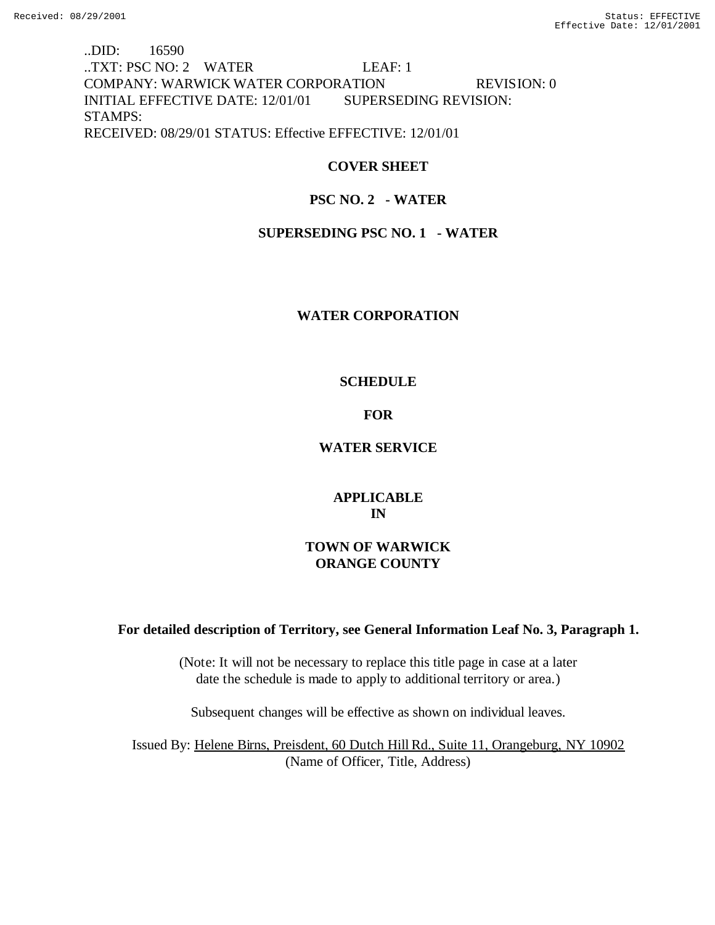..DID: 16590 ..TXT: PSC NO: 2 WATER LEAF: 1 COMPANY: WARWICK WATER CORPORATION REVISION: 0 INITIAL EFFECTIVE DATE: 12/01/01 SUPERSEDING REVISION: STAMPS: RECEIVED: 08/29/01 STATUS: Effective EFFECTIVE: 12/01/01

# **COVER SHEET**

# **PSC NO. 2 - WATER**

## **SUPERSEDING PSC NO. 1 - WATER**

### **WATER CORPORATION**

### **SCHEDULE**

### **FOR**

## **WATER SERVICE**

## **APPLICABLE IN**

# **TOWN OF WARWICK ORANGE COUNTY**

### **For detailed description of Territory, see General Information Leaf No. 3, Paragraph 1.**

(Note: It will not be necessary to replace this title page in case at a later date the schedule is made to apply to additional territory or area.)

Subsequent changes will be effective as shown on individual leaves.

Issued By: Helene Birns, Preisdent, 60 Dutch Hill Rd., Suite 11, Orangeburg, NY 10902 (Name of Officer, Title, Address)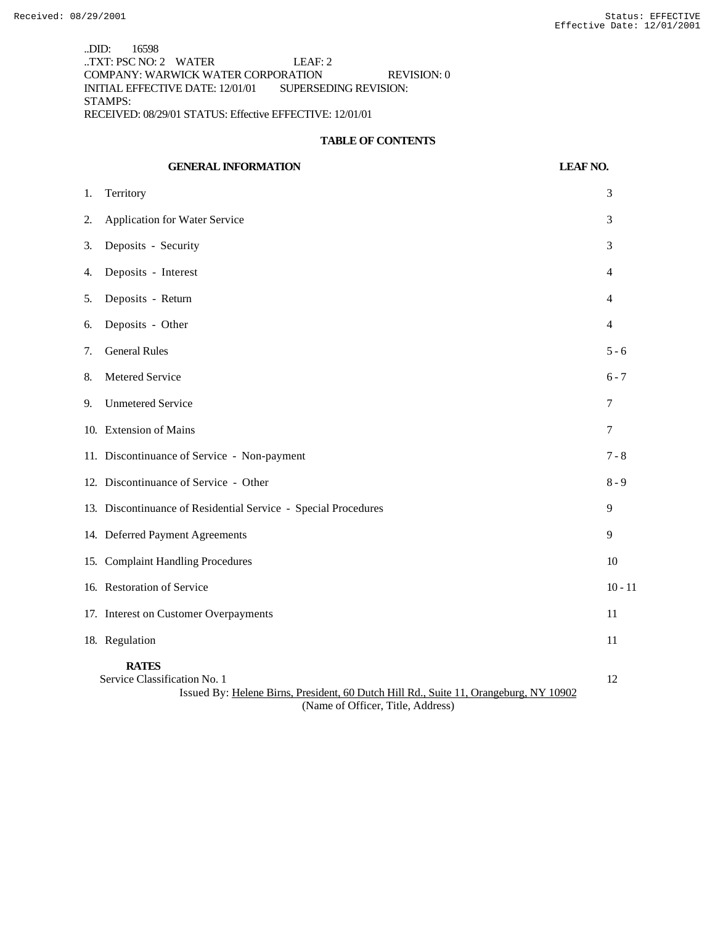..DID: 16598  $\overline{\text{LTAF: PSC NO: 2}}$  WATER LEAF: 2 COMPANY: WARWICK WATER CORPORATION REVISION: 0 INITIAL EFFECTIVE DATE: 12/01/01 SUPERSEDING REVISION: STAMPS: RECEIVED: 08/29/01 STATUS: Effective EFFECTIVE: 12/01/01

### **TABLE OF CONTENTS**

|    | <b>GENERAL INFORMATION</b>                                                                                                                                                 | <b>LEAF NO.</b> |
|----|----------------------------------------------------------------------------------------------------------------------------------------------------------------------------|-----------------|
| 1. | Territory                                                                                                                                                                  | 3               |
| 2. | <b>Application for Water Service</b>                                                                                                                                       | 3               |
| 3. | Deposits - Security                                                                                                                                                        | 3               |
| 4. | Deposits - Interest                                                                                                                                                        | 4               |
| 5. | Deposits - Return                                                                                                                                                          | 4               |
| 6. | Deposits - Other                                                                                                                                                           | 4               |
| 7. | <b>General Rules</b>                                                                                                                                                       | $5 - 6$         |
| 8. | Metered Service                                                                                                                                                            | $6 - 7$         |
| 9. | <b>Unmetered Service</b>                                                                                                                                                   | 7               |
|    | 10. Extension of Mains                                                                                                                                                     | $\overline{7}$  |
|    | 11. Discontinuance of Service - Non-payment                                                                                                                                | $7 - 8$         |
|    | 12. Discontinuance of Service - Other                                                                                                                                      | $8 - 9$         |
|    | 13. Discontinuance of Residential Service - Special Procedures                                                                                                             | 9               |
|    | 14. Deferred Payment Agreements                                                                                                                                            | 9               |
|    | 15. Complaint Handling Procedures                                                                                                                                          | 10              |
|    | 16. Restoration of Service                                                                                                                                                 | $10 - 11$       |
|    | 17. Interest on Customer Overpayments                                                                                                                                      | 11              |
|    | 18. Regulation                                                                                                                                                             | 11              |
|    | <b>RATES</b><br>Service Classification No. 1<br>Issued By: Helene Birns, President, 60 Dutch Hill Rd., Suite 11, Orangeburg, NY 10902<br>(Name of Officer, Title, Address) | 12              |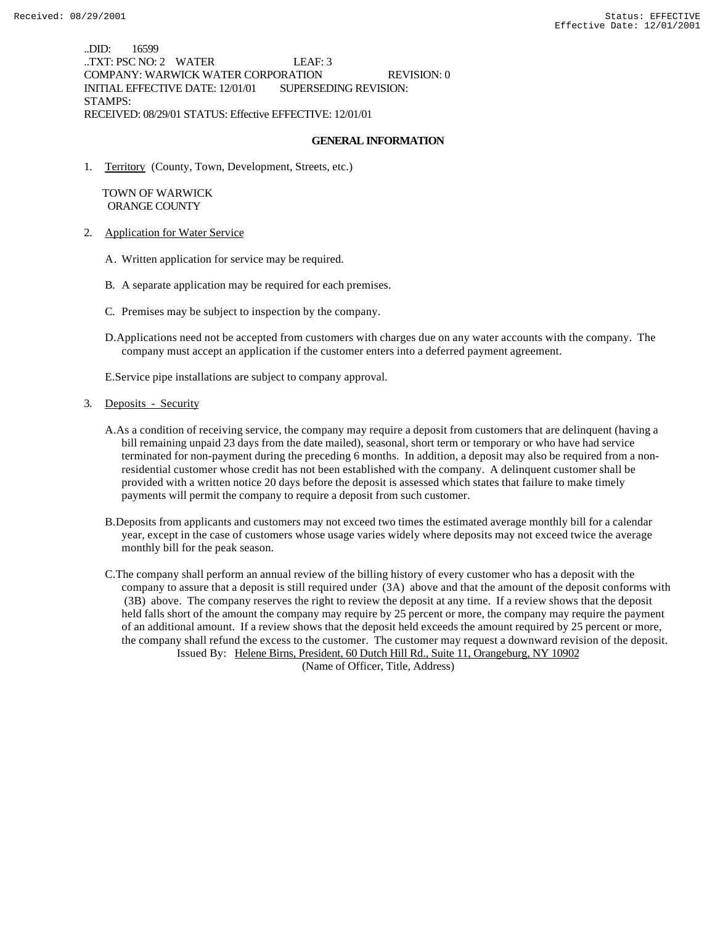..DID: 16599 ..TXT: PSC NO: 2 WATER LEAF: 3 COMPANY: WARWICK WATER CORPORATION REVISION: 0 INITIAL EFFECTIVE DATE: 12/01/01 SUPERSEDING REVISION: STAMPS: RECEIVED: 08/29/01 STATUS: Effective EFFECTIVE: 12/01/01

#### **GENERAL INFORMATION**

1. Territory (County, Town, Development, Streets, etc.)

 TOWN OF WARWICK ORANGE COUNTY

- 2. Application for Water Service
	- A. Written application for service may be required.
	- B. A separate application may be required for each premises.
	- C. Premises may be subject to inspection by the company.
	- D.Applications need not be accepted from customers with charges due on any water accounts with the company. The company must accept an application if the customer enters into a deferred payment agreement.

E.Service pipe installations are subject to company approval.

- 3. Deposits Security
	- A.As a condition of receiving service, the company may require a deposit from customers that are delinquent (having a bill remaining unpaid 23 days from the date mailed), seasonal, short term or temporary or who have had service terminated for non-payment during the preceding 6 months. In addition, a deposit may also be required from a nonresidential customer whose credit has not been established with the company. A delinquent customer shall be provided with a written notice 20 days before the deposit is assessed which states that failure to make timely payments will permit the company to require a deposit from such customer.
	- B.Deposits from applicants and customers may not exceed two times the estimated average monthly bill for a calendar year, except in the case of customers whose usage varies widely where deposits may not exceed twice the average monthly bill for the peak season.
	- C.The company shall perform an annual review of the billing history of every customer who has a deposit with the company to assure that a deposit is still required under (3A) above and that the amount of the deposit conforms with (3B) above. The company reserves the right to review the deposit at any time. If a review shows that the deposit held falls short of the amount the company may require by 25 percent or more, the company may require the payment of an additional amount. If a review shows that the deposit held exceeds the amount required by 25 percent or more, the company shall refund the excess to the customer. The customer may request a downward revision of the deposit. Issued By: Helene Birns, President, 60 Dutch Hill Rd., Suite 11, Orangeburg, NY 10902

(Name of Officer, Title, Address)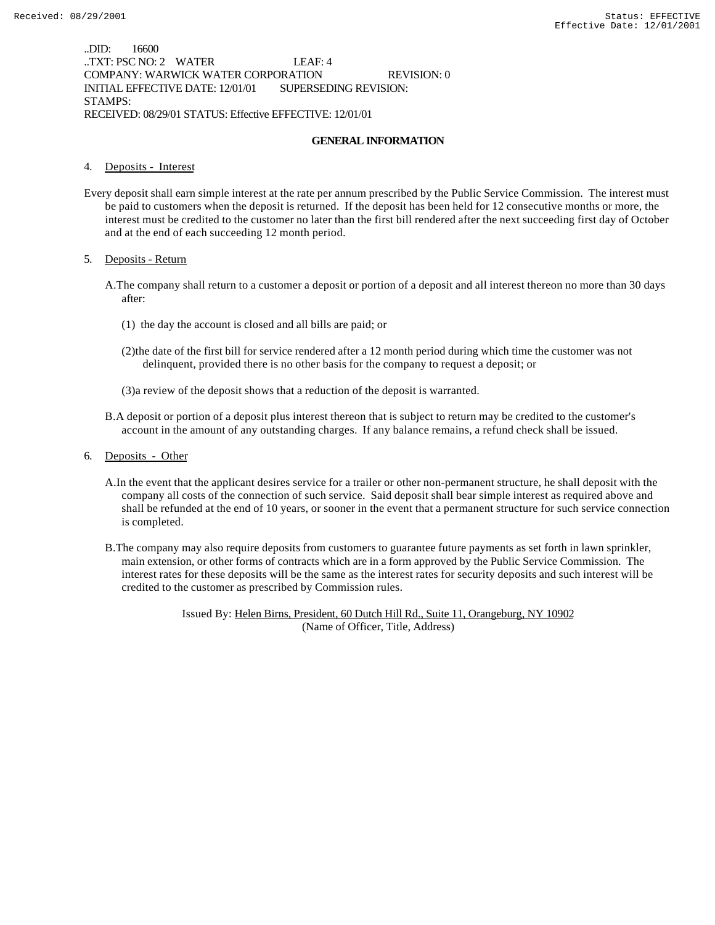..DID: 16600 ..TXT: PSC NO: 2 WATER LEAF: 4 COMPANY: WARWICK WATER CORPORATION REVISION: 0 INITIAL EFFECTIVE DATE: 12/01/01 SUPERSEDING REVISION: STAMPS: RECEIVED: 08/29/01 STATUS: Effective EFFECTIVE: 12/01/01

#### **GENERAL INFORMATION**

#### 4. Deposits - Interest

Every deposit shall earn simple interest at the rate per annum prescribed by the Public Service Commission. The interest must be paid to customers when the deposit is returned. If the deposit has been held for 12 consecutive months or more, the interest must be credited to the customer no later than the first bill rendered after the next succeeding first day of October and at the end of each succeeding 12 month period.

#### 5. Deposits - Return

- A.The company shall return to a customer a deposit or portion of a deposit and all interest thereon no more than 30 days after:
	- (1) the day the account is closed and all bills are paid; or
	- (2)the date of the first bill for service rendered after a 12 month period during which time the customer was not delinquent, provided there is no other basis for the company to request a deposit; or
	- (3)a review of the deposit shows that a reduction of the deposit is warranted.
- B.A deposit or portion of a deposit plus interest thereon that is subject to return may be credited to the customer's account in the amount of any outstanding charges. If any balance remains, a refund check shall be issued.
- 6. Deposits Other
	- A.In the event that the applicant desires service for a trailer or other non-permanent structure, he shall deposit with the company all costs of the connection of such service. Said deposit shall bear simple interest as required above and shall be refunded at the end of 10 years, or sooner in the event that a permanent structure for such service connection is completed.
	- B.The company may also require deposits from customers to guarantee future payments as set forth in lawn sprinkler, main extension, or other forms of contracts which are in a form approved by the Public Service Commission. The interest rates for these deposits will be the same as the interest rates for security deposits and such interest will be credited to the customer as prescribed by Commission rules.

Issued By: Helen Birns, President, 60 Dutch Hill Rd., Suite 11, Orangeburg, NY 10902 (Name of Officer, Title, Address)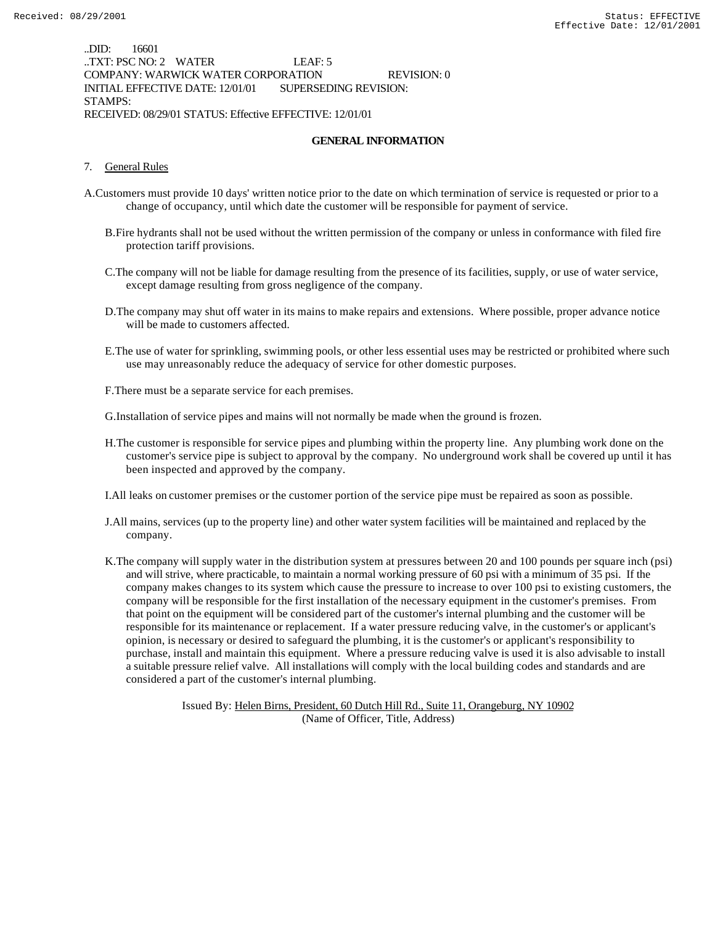..DID: 16601 ..TXT: PSC NO: 2 WATER LEAF: 5 COMPANY: WARWICK WATER CORPORATION REVISION: 0 INITIAL EFFECTIVE DATE: 12/01/01 SUPERSEDING REVISION: STAMPS: RECEIVED: 08/29/01 STATUS: Effective EFFECTIVE: 12/01/01

#### **GENERAL INFORMATION**

#### 7. General Rules

- A.Customers must provide 10 days' written notice prior to the date on which termination of service is requested or prior to a change of occupancy, until which date the customer will be responsible for payment of service.
	- B.Fire hydrants shall not be used without the written permission of the company or unless in conformance with filed fire protection tariff provisions.
	- C.The company will not be liable for damage resulting from the presence of its facilities, supply, or use of water service, except damage resulting from gross negligence of the company.
	- D.The company may shut off water in its mains to make repairs and extensions. Where possible, proper advance notice will be made to customers affected.
	- E.The use of water for sprinkling, swimming pools, or other less essential uses may be restricted or prohibited where such use may unreasonably reduce the adequacy of service for other domestic purposes.
	- F.There must be a separate service for each premises.
	- G.Installation of service pipes and mains will not normally be made when the ground is frozen.
	- H.The customer is responsible for service pipes and plumbing within the property line. Any plumbing work done on the customer's service pipe is subject to approval by the company. No underground work shall be covered up until it has been inspected and approved by the company.
	- I.All leaks on customer premises or the customer portion of the service pipe must be repaired as soon as possible.
	- J.All mains, services (up to the property line) and other water system facilities will be maintained and replaced by the company.
	- K.The company will supply water in the distribution system at pressures between 20 and 100 pounds per square inch (psi) and will strive, where practicable, to maintain a normal working pressure of 60 psi with a minimum of 35 psi. If the company makes changes to its system which cause the pressure to increase to over 100 psi to existing customers, the company will be responsible for the first installation of the necessary equipment in the customer's premises. From that point on the equipment will be considered part of the customer's internal plumbing and the customer will be responsible for its maintenance or replacement. If a water pressure reducing valve, in the customer's or applicant's opinion, is necessary or desired to safeguard the plumbing, it is the customer's or applicant's responsibility to purchase, install and maintain this equipment. Where a pressure reducing valve is used it is also advisable to install a suitable pressure relief valve. All installations will comply with the local building codes and standards and are considered a part of the customer's internal plumbing.

Issued By: Helen Birns, President, 60 Dutch Hill Rd., Suite 11, Orangeburg, NY 10902 (Name of Officer, Title, Address)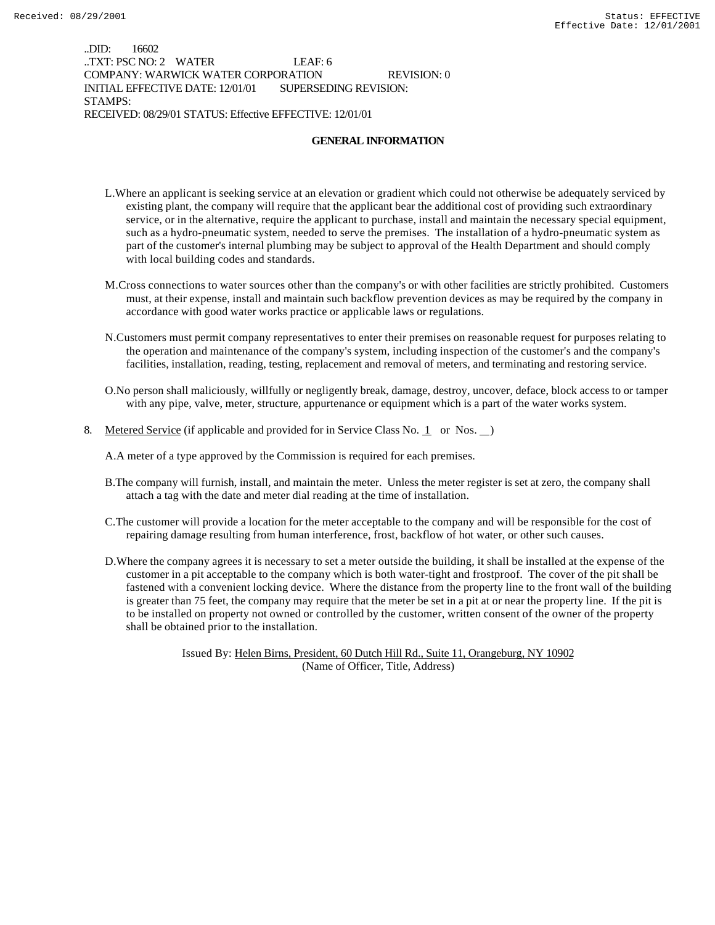..DID: 16602 ..TXT: PSC NO: 2 WATER LEAF: 6 COMPANY: WARWICK WATER CORPORATION REVISION: 0 INITIAL EFFECTIVE DATE: 12/01/01 SUPERSEDING REVISION: STAMPS: RECEIVED: 08/29/01 STATUS: Effective EFFECTIVE: 12/01/01

#### **GENERAL INFORMATION**

- L.Where an applicant is seeking service at an elevation or gradient which could not otherwise be adequately serviced by existing plant, the company will require that the applicant bear the additional cost of providing such extraordinary service, or in the alternative, require the applicant to purchase, install and maintain the necessary special equipment, such as a hydro-pneumatic system, needed to serve the premises. The installation of a hydro-pneumatic system as part of the customer's internal plumbing may be subject to approval of the Health Department and should comply with local building codes and standards.
- M.Cross connections to water sources other than the company's or with other facilities are strictly prohibited. Customers must, at their expense, install and maintain such backflow prevention devices as may be required by the company in accordance with good water works practice or applicable laws or regulations.
- N.Customers must permit company representatives to enter their premises on reasonable request for purposes relating to the operation and maintenance of the company's system, including inspection of the customer's and the company's facilities, installation, reading, testing, replacement and removal of meters, and terminating and restoring service.
- O.No person shall maliciously, willfully or negligently break, damage, destroy, uncover, deface, block access to or tamper with any pipe, valve, meter, structure, appurtenance or equipment which is a part of the water works system.
- 8. Metered Service (if applicable and provided for in Service Class No. 1 or Nos.  $\Box$ )

A.A meter of a type approved by the Commission is required for each premises.

- B.The company will furnish, install, and maintain the meter. Unless the meter register is set at zero, the company shall attach a tag with the date and meter dial reading at the time of installation.
- C.The customer will provide a location for the meter acceptable to the company and will be responsible for the cost of repairing damage resulting from human interference, frost, backflow of hot water, or other such causes.
- D.Where the company agrees it is necessary to set a meter outside the building, it shall be installed at the expense of the customer in a pit acceptable to the company which is both water-tight and frostproof. The cover of the pit shall be fastened with a convenient locking device. Where the distance from the property line to the front wall of the building is greater than 75 feet, the company may require that the meter be set in a pit at or near the property line. If the pit is to be installed on property not owned or controlled by the customer, written consent of the owner of the property shall be obtained prior to the installation.

Issued By: Helen Birns, President, 60 Dutch Hill Rd., Suite 11, Orangeburg, NY 10902 (Name of Officer, Title, Address)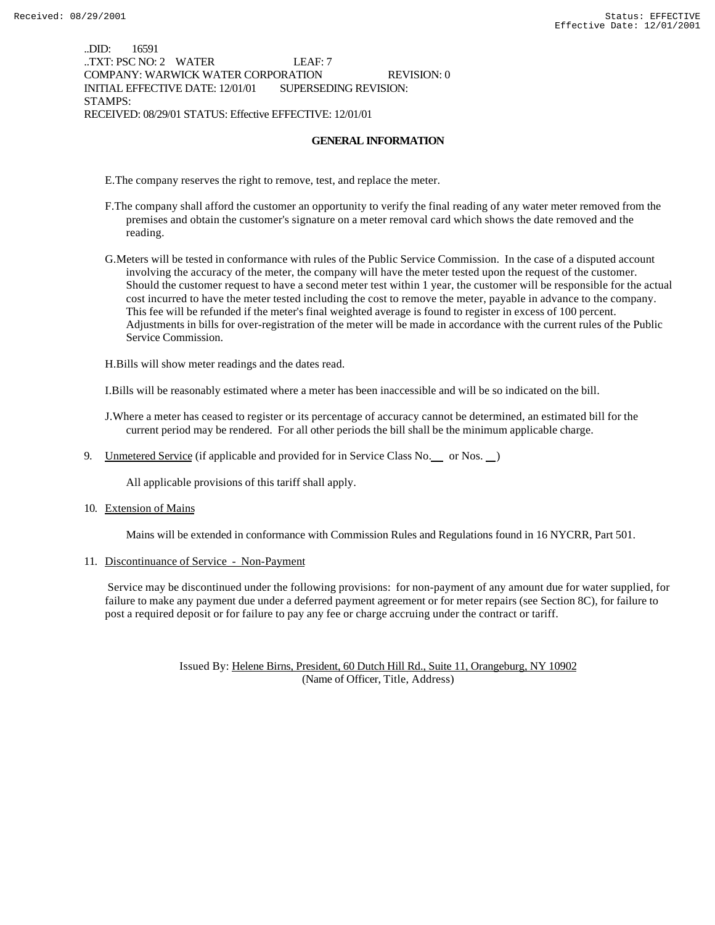..DID: 16591 ..TXT: PSC NO: 2 WATER LEAF: 7 COMPANY: WARWICK WATER CORPORATION REVISION: 0 INITIAL EFFECTIVE DATE: 12/01/01 SUPERSEDING REVISION: STAMPS: RECEIVED: 08/29/01 STATUS: Effective EFFECTIVE: 12/01/01

#### **GENERAL INFORMATION**

E.The company reserves the right to remove, test, and replace the meter.

- F.The company shall afford the customer an opportunity to verify the final reading of any water meter removed from the premises and obtain the customer's signature on a meter removal card which shows the date removed and the reading.
- G.Meters will be tested in conformance with rules of the Public Service Commission. In the case of a disputed account involving the accuracy of the meter, the company will have the meter tested upon the request of the customer. Should the customer request to have a second meter test within 1 year, the customer will be responsible for the actual cost incurred to have the meter tested including the cost to remove the meter, payable in advance to the company. This fee will be refunded if the meter's final weighted average is found to register in excess of 100 percent. Adjustments in bills for over-registration of the meter will be made in accordance with the current rules of the Public Service Commission.

H.Bills will show meter readings and the dates read.

I.Bills will be reasonably estimated where a meter has been inaccessible and will be so indicated on the bill.

J.Where a meter has ceased to register or its percentage of accuracy cannot be determined, an estimated bill for the current period may be rendered. For all other periods the bill shall be the minimum applicable charge.

9. Unmetered Service (if applicable and provided for in Service Class No. \_\_ or Nos. \_\_)

All applicable provisions of this tariff shall apply.

10. Extension of Mains

Mains will be extended in conformance with Commission Rules and Regulations found in 16 NYCRR, Part 501.

11. Discontinuance of Service - Non-Payment

 Service may be discontinued under the following provisions: for non-payment of any amount due for water supplied, for failure to make any payment due under a deferred payment agreement or for meter repairs (see Section 8C), for failure to post a required deposit or for failure to pay any fee or charge accruing under the contract or tariff.

> Issued By: Helene Birns, President, 60 Dutch Hill Rd., Suite 11, Orangeburg, NY 10902 (Name of Officer, Title, Address)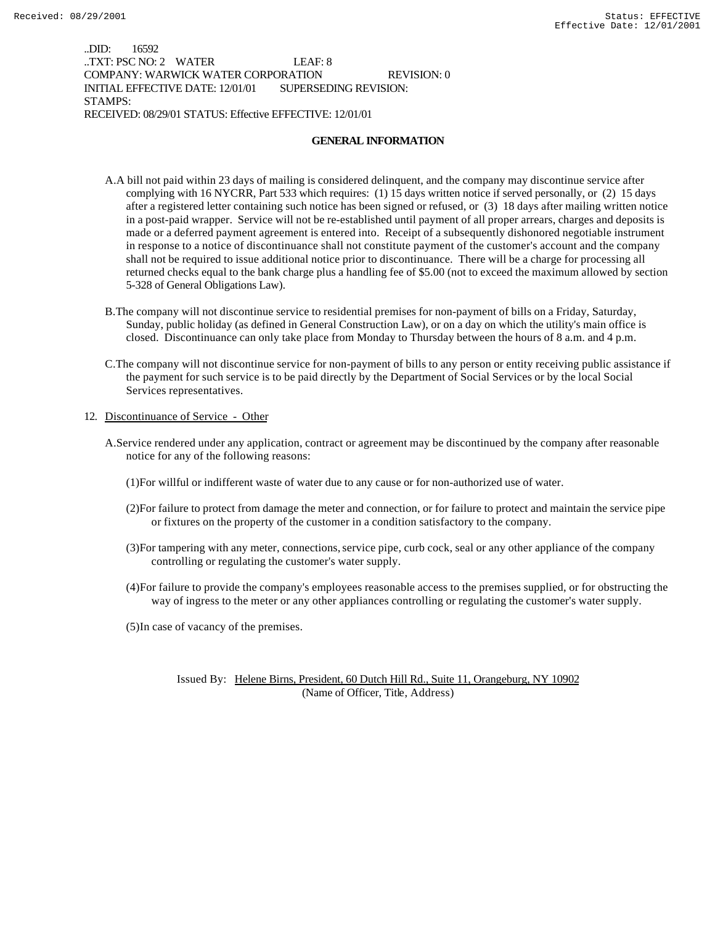..DID: 16592 ..TXT: PSC NO: 2 WATER LEAF: 8 COMPANY: WARWICK WATER CORPORATION REVISION: 0 INITIAL EFFECTIVE DATE: 12/01/01 SUPERSEDING REVISION: STAMPS: RECEIVED: 08/29/01 STATUS: Effective EFFECTIVE: 12/01/01

#### **GENERAL INFORMATION**

- A.A bill not paid within 23 days of mailing is considered delinquent, and the company may discontinue service after complying with 16 NYCRR, Part 533 which requires: (1) 15 days written notice if served personally, or (2) 15 days after a registered letter containing such notice has been signed or refused, or (3) 18 days after mailing written notice in a post-paid wrapper. Service will not be re-established until payment of all proper arrears, charges and deposits is made or a deferred payment agreement is entered into. Receipt of a subsequently dishonored negotiable instrument in response to a notice of discontinuance shall not constitute payment of the customer's account and the company shall not be required to issue additional notice prior to discontinuance. There will be a charge for processing all returned checks equal to the bank charge plus a handling fee of \$5.00 (not to exceed the maximum allowed by section 5-328 of General Obligations Law).
- B.The company will not discontinue service to residential premises for non-payment of bills on a Friday, Saturday, Sunday, public holiday (as defined in General Construction Law), or on a day on which the utility's main office is closed. Discontinuance can only take place from Monday to Thursday between the hours of 8 a.m. and 4 p.m.
- C.The company will not discontinue service for non-payment of bills to any person or entity receiving public assistance if the payment for such service is to be paid directly by the Department of Social Services or by the local Social Services representatives.

#### 12. Discontinuance of Service - Other

- A.Service rendered under any application, contract or agreement may be discontinued by the company after reasonable notice for any of the following reasons:
	- (1)For willful or indifferent waste of water due to any cause or for non-authorized use of water.
	- (2)For failure to protect from damage the meter and connection, or for failure to protect and maintain the service pipe or fixtures on the property of the customer in a condition satisfactory to the company.
	- (3)For tampering with any meter, connections, service pipe, curb cock, seal or any other appliance of the company controlling or regulating the customer's water supply.
	- (4)For failure to provide the company's employees reasonable access to the premises supplied, or for obstructing the way of ingress to the meter or any other appliances controlling or regulating the customer's water supply.

(5)In case of vacancy of the premises.

Issued By: Helene Birns, President, 60 Dutch Hill Rd., Suite 11, Orangeburg, NY 10902 (Name of Officer, Title, Address)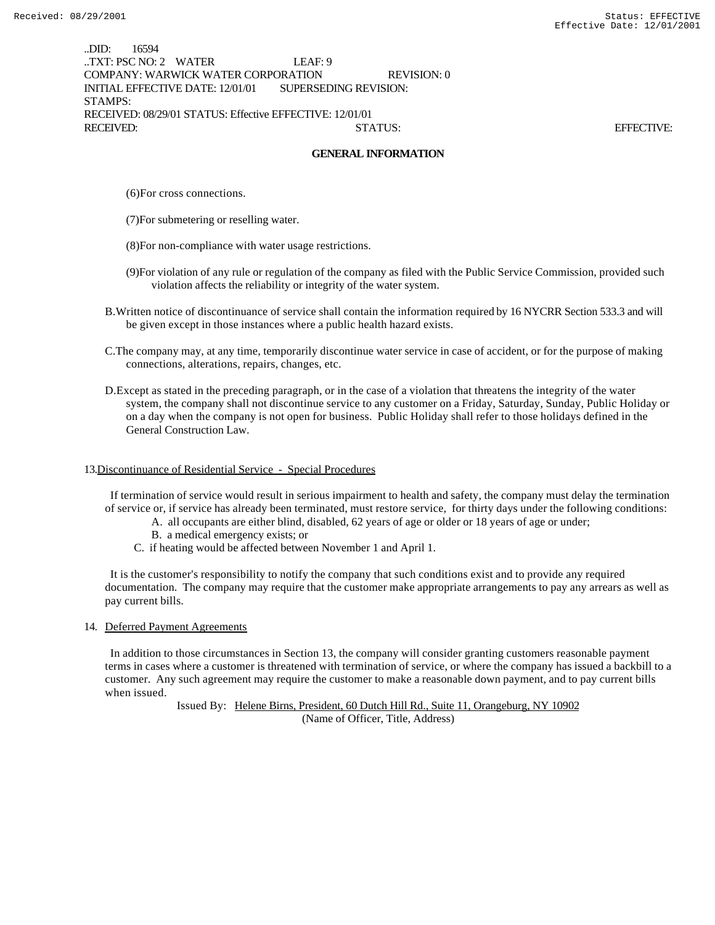..DID: 16594 ..TXT: PSC NO: 2 WATER LEAF: 9 COMPANY: WARWICK WATER CORPORATION REVISION: 0 INITIAL EFFECTIVE DATE: 12/01/01 SUPERSEDING REVISION: STAMPS: RECEIVED: 08/29/01 STATUS: Effective EFFECTIVE: 12/01/01 RECEIVED: STATUS: EFFECTIVE:

#### **GENERAL INFORMATION**

(6)For cross connections.

- (7)For submetering or reselling water.
- (8)For non-compliance with water usage restrictions.
- (9)For violation of any rule or regulation of the company as filed with the Public Service Commission, provided such violation affects the reliability or integrity of the water system.
- B.Written notice of discontinuance of service shall contain the information required by 16 NYCRR Section 533.3 and will be given except in those instances where a public health hazard exists.
- C.The company may, at any time, temporarily discontinue water service in case of accident, or for the purpose of making connections, alterations, repairs, changes, etc.
- D.Except as stated in the preceding paragraph, or in the case of a violation that threatens the integrity of the water system, the company shall not discontinue service to any customer on a Friday, Saturday, Sunday, Public Holiday or on a day when the company is not open for business. Public Holiday shall refer to those holidays defined in the General Construction Law.

#### 13.Discontinuance of Residential Service - Special Procedures

 If termination of service would result in serious impairment to health and safety, the company must delay the termination of service or, if service has already been terminated, must restore service, for thirty days under the following conditions:

- A. all occupants are either blind, disabled, 62 years of age or older or 18 years of age or under;
- B. a medical emergency exists; or
- C. if heating would be affected between November 1 and April 1.

 It is the customer's responsibility to notify the company that such conditions exist and to provide any required documentation. The company may require that the customer make appropriate arrangements to pay any arrears as well as pay current bills.

14. Deferred Payment Agreements

 In addition to those circumstances in Section 13, the company will consider granting customers reasonable payment terms in cases where a customer is threatened with termination of service, or where the company has issued a backbill to a customer. Any such agreement may require the customer to make a reasonable down payment, and to pay current bills when issued.

> Issued By: Helene Birns, President, 60 Dutch Hill Rd., Suite 11, Orangeburg, NY 10902 (Name of Officer, Title, Address)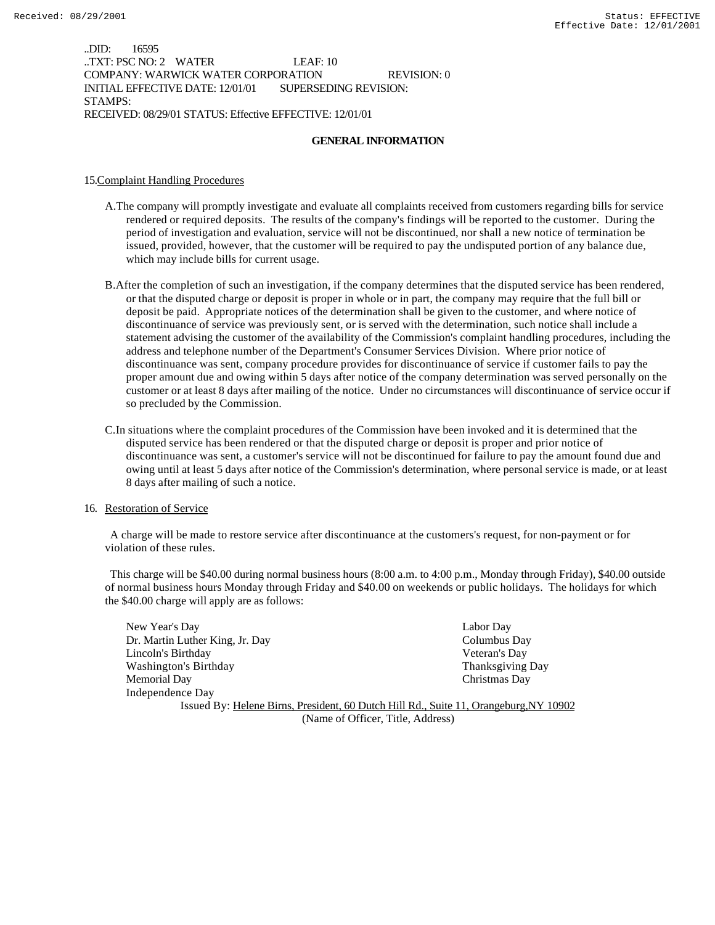..DID: 16595 ..TXT: PSC NO: 2 WATER LEAF: 10 COMPANY: WARWICK WATER CORPORATION REVISION: 0 INITIAL EFFECTIVE DATE: 12/01/01 SUPERSEDING REVISION: STAMPS: RECEIVED: 08/29/01 STATUS: Effective EFFECTIVE: 12/01/01

#### **GENERAL INFORMATION**

#### 15.Complaint Handling Procedures

- A.The company will promptly investigate and evaluate all complaints received from customers regarding bills for service rendered or required deposits. The results of the company's findings will be reported to the customer. During the period of investigation and evaluation, service will not be discontinued, nor shall a new notice of termination be issued, provided, however, that the customer will be required to pay the undisputed portion of any balance due, which may include bills for current usage.
- B.After the completion of such an investigation, if the company determines that the disputed service has been rendered, or that the disputed charge or deposit is proper in whole or in part, the company may require that the full bill or deposit be paid. Appropriate notices of the determination shall be given to the customer, and where notice of discontinuance of service was previously sent, or is served with the determination, such notice shall include a statement advising the customer of the availability of the Commission's complaint handling procedures, including the address and telephone number of the Department's Consumer Services Division. Where prior notice of discontinuance was sent, company procedure provides for discontinuance of service if customer fails to pay the proper amount due and owing within 5 days after notice of the company determination was served personally on the customer or at least 8 days after mailing of the notice. Under no circumstances will discontinuance of service occur if so precluded by the Commission.
- C.In situations where the complaint procedures of the Commission have been invoked and it is determined that the disputed service has been rendered or that the disputed charge or deposit is proper and prior notice of discontinuance was sent, a customer's service will not be discontinued for failure to pay the amount found due and owing until at least 5 days after notice of the Commission's determination, where personal service is made, or at least 8 days after mailing of such a notice.

#### 16. Restoration of Service

 A charge will be made to restore service after discontinuance at the customers's request, for non-payment or for violation of these rules.

 This charge will be \$40.00 during normal business hours (8:00 a.m. to 4:00 p.m., Monday through Friday), \$40.00 outside of normal business hours Monday through Friday and \$40.00 on weekends or public holidays. The holidays for which the \$40.00 charge will apply are as follows:

New Year's Day Labor Day Dr. Martin Luther King, Jr. Day Columbus Day Lincoln's Birthday Veteran's Day Washington's Birthday **Thanksgiving Day** Thanksgiving Day Memorial Day Christmas Day Independence Day Issued By: Helene Birns, President, 60 Dutch Hill Rd., Suite 11, Orangeburg,NY 10902

(Name of Officer, Title, Address)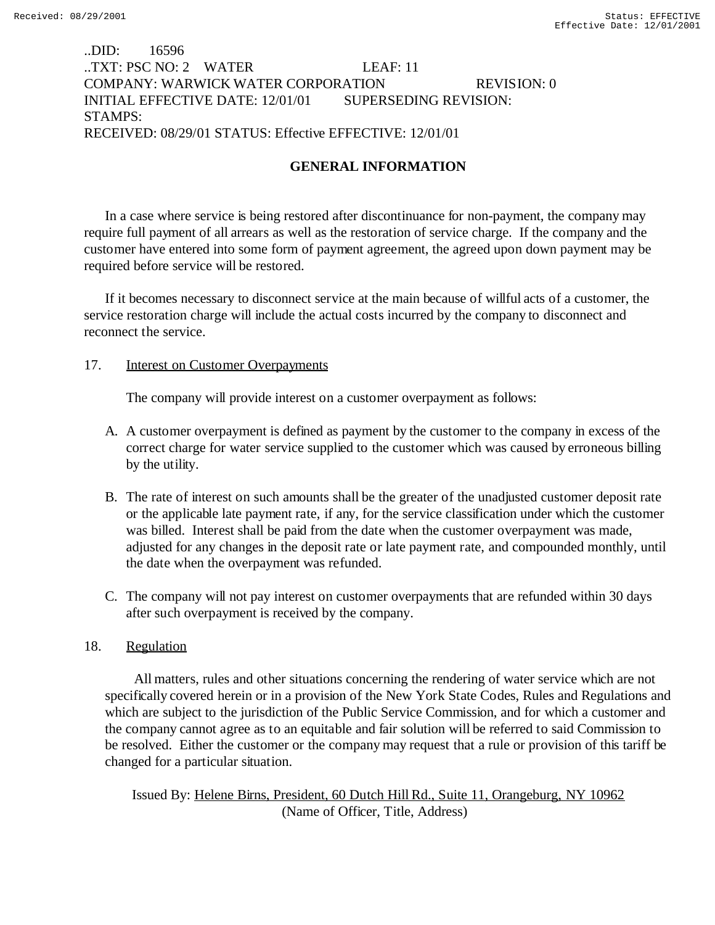# ..DID: 16596 ..TXT: PSC NO: 2 WATER LEAF: 11 COMPANY: WARWICK WATER CORPORATION REVISION: 0 INITIAL EFFECTIVE DATE: 12/01/01 SUPERSEDING REVISION: STAMPS: RECEIVED: 08/29/01 STATUS: Effective EFFECTIVE: 12/01/01

# **GENERAL INFORMATION**

In a case where service is being restored after discontinuance for non-payment, the company may require full payment of all arrears as well as the restoration of service charge. If the company and the customer have entered into some form of payment agreement, the agreed upon down payment may be required before service will be restored.

If it becomes necessary to disconnect service at the main because of willful acts of a customer, the service restoration charge will include the actual costs incurred by the company to disconnect and reconnect the service.

### 17. Interest on Customer Overpayments

The company will provide interest on a customer overpayment as follows:

- A. A customer overpayment is defined as payment by the customer to the company in excess of the correct charge for water service supplied to the customer which was caused by erroneous billing by the utility.
- B. The rate of interest on such amounts shall be the greater of the unadjusted customer deposit rate or the applicable late payment rate, if any, for the service classification under which the customer was billed. Interest shall be paid from the date when the customer overpayment was made, adjusted for any changes in the deposit rate or late payment rate, and compounded monthly, until the date when the overpayment was refunded.
- C. The company will not pay interest on customer overpayments that are refunded within 30 days after such overpayment is received by the company.

## 18. Regulation

 All matters, rules and other situations concerning the rendering of water service which are not specifically covered herein or in a provision of the New York State Codes, Rules and Regulations and which are subject to the jurisdiction of the Public Service Commission, and for which a customer and the company cannot agree as to an equitable and fair solution will be referred to said Commission to be resolved. Either the customer or the company may request that a rule or provision of this tariff be changed for a particular situation.

Issued By: Helene Birns, President, 60 Dutch Hill Rd., Suite 11, Orangeburg, NY 10962 (Name of Officer, Title, Address)